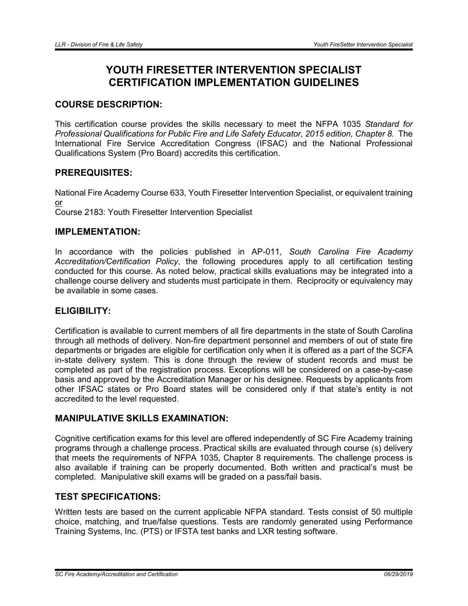# YOUTH FIRESETTER INTERVENTION SPECIALIST CERTIFICATION IMPLEMENTATION GUIDELINES

# COURSE DESCRIPTION:

This certification course provides the skills necessary to meet the NFPA 1035 *Standard for Professional Qualifications for Public Fire and Life Safety Educator, 2015 edition, Chapter 8.* The International Fire Service Accreditation Congress (IFSAC) and the National Professional Qualifications System (Pro Board) accredits this certification.

## PREREQUISITES:

National Fire Academy Course 633, Youth Firesetter Intervention Specialist, or equivalent training or

Course 2183: Youth Firesetter Intervention Specialist

### IMPLEMENTATION:

In accordance with the policies published in AP-011, *South Carolina Fire Academy Accreditation/Certification Policy*, the following procedures apply to all certification testing conducted for this course. As noted below, practical skills evaluations may be integrated into a challenge course delivery and students must participate in them. Reciprocity or equivalency may be available in some cases.

### ELIGIBILITY:

Certification is available to current members of all fire departments in the state of South Carolina through all methods of delivery. Non-fire department personnel and members of out of state fire departments or brigades are eligible for certification only when it is offered as a part of the SCFA in-state delivery system. This is done through the review of student records and must be completed as part of the registration process. Exceptions will be considered on a case-by-case basis and approved by the Accreditation Manager or his designee. Requests by applicants from other IFSAC states or Pro Board states will be considered only if that state's entity is not accredited to the level requested.

### MANIPULATIVE SKILLS EXAMINATION:

Cognitive certification exams for this level are offered independently of SC Fire Academy training programs through a challenge process. Practical skills are evaluated through course (s) delivery that meets the requirements of NFPA 1035, Chapter 8 requirements. The challenge process is also available if training can be properly documented. Both written and practical's must be completed. Manipulative skill exams will be graded on a pass/fail basis.

# TEST SPECIFICATIONS:

Written tests are based on the current applicable NFPA standard. Tests consist of 50 multiple choice, matching, and true/false questions. Tests are randomly generated using Performance Training Systems, Inc. (PTS) or IFSTA test banks and LXR testing software.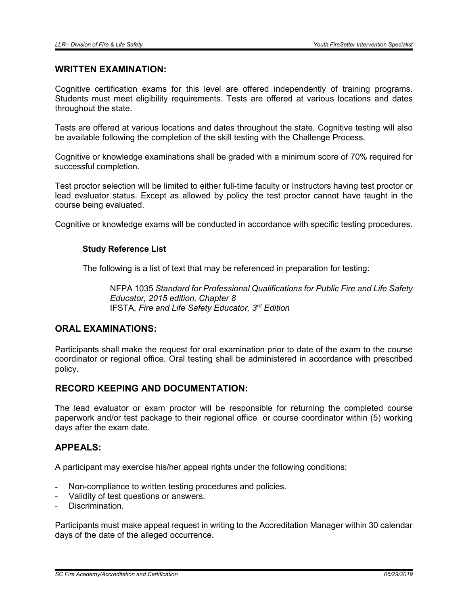#### WRITTEN EXAMINATION:

Cognitive certification exams for this level are offered independently of training programs. Students must meet eligibility requirements. Tests are offered at various locations and dates throughout the state.

Tests are offered at various locations and dates throughout the state. Cognitive testing will also be available following the completion of the skill testing with the Challenge Process.

Cognitive or knowledge examinations shall be graded with a minimum score of 70% required for successful completion.

Test proctor selection will be limited to either full-time faculty or Instructors having test proctor or lead evaluator status. Except as allowed by policy the test proctor cannot have taught in the course being evaluated.

Cognitive or knowledge exams will be conducted in accordance with specific testing procedures.

#### Study Reference List

The following is a list of text that may be referenced in preparation for testing:

NFPA 1035 *Standard for Professional Qualifications for Public Fire and Life Safety Educator, 2015 edition, Chapter 8* IFSTA, *Fire and Life Safety Educator, 3rd Edition*

# ORAL EXAMINATIONS:

Participants shall make the request for oral examination prior to date of the exam to the course coordinator or regional office. Oral testing shall be administered in accordance with prescribed policy.

#### RECORD KEEPING AND DOCUMENTATION:

The lead evaluator or exam proctor will be responsible for returning the completed course paperwork and/or test package to their regional office or course coordinator within (5) working days after the exam date.

#### APPEALS:

A participant may exercise his/her appeal rights under the following conditions:

- Non-compliance to written testing procedures and policies.
- Validity of test questions or answers.
- Discrimination.

Participants must make appeal request in writing to the Accreditation Manager within 30 calendar days of the date of the alleged occurrence.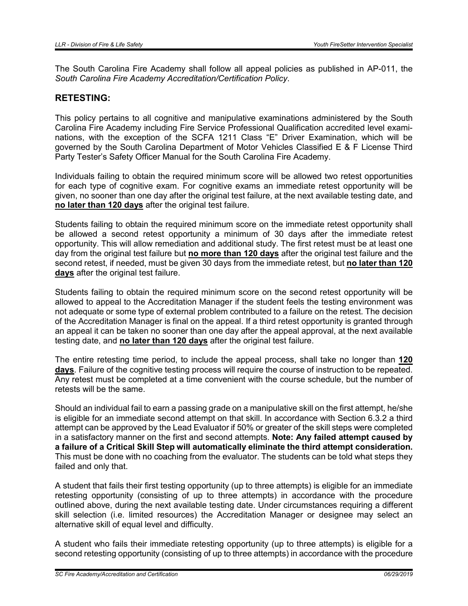The South Carolina Fire Academy shall follow all appeal policies as published in AP-011, the *South Carolina Fire Academy Accreditation/Certification Policy*.

#### RETESTING:

This policy pertains to all cognitive and manipulative examinations administered by the South Carolina Fire Academy including Fire Service Professional Qualification accredited level examinations, with the exception of the SCFA 1211 Class "E" Driver Examination, which will be governed by the South Carolina Department of Motor Vehicles Classified E & F License Third Party Tester's Safety Officer Manual for the South Carolina Fire Academy.

Individuals failing to obtain the required minimum score will be allowed two retest opportunities for each type of cognitive exam. For cognitive exams an immediate retest opportunity will be given, no sooner than one day after the original test failure, at the next available testing date, and no later than 120 days after the original test failure.

Students failing to obtain the required minimum score on the immediate retest opportunity shall be allowed a second retest opportunity a minimum of 30 days after the immediate retest opportunity. This will allow remediation and additional study. The first retest must be at least one day from the original test failure but no more than 120 days after the original test failure and the second retest, if needed, must be given 30 days from the immediate retest, but no later than 120 days after the original test failure.

Students failing to obtain the required minimum score on the second retest opportunity will be allowed to appeal to the Accreditation Manager if the student feels the testing environment was not adequate or some type of external problem contributed to a failure on the retest. The decision of the Accreditation Manager is final on the appeal. If a third retest opportunity is granted through an appeal it can be taken no sooner than one day after the appeal approval, at the next available testing date, and no later than 120 days after the original test failure.

The entire retesting time period, to include the appeal process, shall take no longer than 120 days. Failure of the cognitive testing process will require the course of instruction to be repeated. Any retest must be completed at a time convenient with the course schedule, but the number of retests will be the same.

Should an individual fail to earn a passing grade on a manipulative skill on the first attempt, he/she is eligible for an immediate second attempt on that skill. In accordance with Section 6.3.2 a third attempt can be approved by the Lead Evaluator if 50% or greater of the skill steps were completed in a satisfactory manner on the first and second attempts. Note: Any failed attempt caused by a failure of a Critical Skill Step will automatically eliminate the third attempt consideration. This must be done with no coaching from the evaluator. The students can be told what steps they failed and only that.

A student that fails their first testing opportunity (up to three attempts) is eligible for an immediate retesting opportunity (consisting of up to three attempts) in accordance with the procedure outlined above, during the next available testing date. Under circumstances requiring a different skill selection (i.e. limited resources) the Accreditation Manager or designee may select an alternative skill of equal level and difficulty.

A student who fails their immediate retesting opportunity (up to three attempts) is eligible for a second retesting opportunity (consisting of up to three attempts) in accordance with the procedure